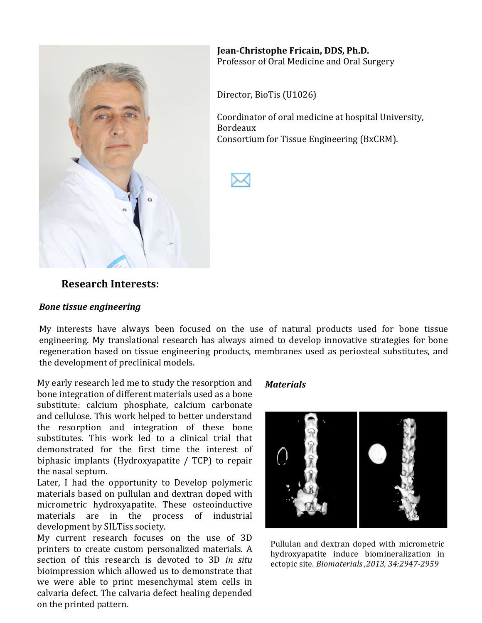

**Jean-Christophe Fricain, DDS, Ph.D.** Professor of Oral Medicine and Oral Surgery

Director, BioTis (U1026)

Coordinator of oral medicine at hospital University, Bordeaux! Consortium for Tissue Engineering (BxCRM).



### **Research.Interests:**

#### *Bone%tissue%engineering*

My interests have always been focused on the use of natural products used for bone tissue engineering. My translational research has always aimed to develop innovative strategies for bone regeneration based on tissue engineering products, membranes used as periosteal substitutes, and the development of preclinical models.

My early research led me to study the resorption and *Materials* bone integration of different materials used as a bone substitute: calcium phosphate, calcium carbonate and cellulose. This work helped to better understand the resorption and integration of these bone substitutes. This work led to a clinical trial that demonstrated for the first time the interest of biphasic implants (Hydroxyapatite /  $TCP$ ) to repair the nasal septum.

Later, I had the opportunity to Develop polymeric materials based on pullulan and dextran doped with micrometric hydroxyapatite. These osteoinductive materials are in the process of industrial development by SILTiss society.

My current research focuses on the use of 3D printers to create custom personalized materials. A section of this research is devoted to 3D *in situ* bioimpression which allowed us to demonstrate that we were able to print mesenchymal stem cells in calvaria defect. The calvaria defect healing depended on the printed pattern.



Pullulan and dextran doped with micrometric hydroxyapatite induce biomineralization in ectopic!site.!*Biomaterials#,2013,#34:294772959*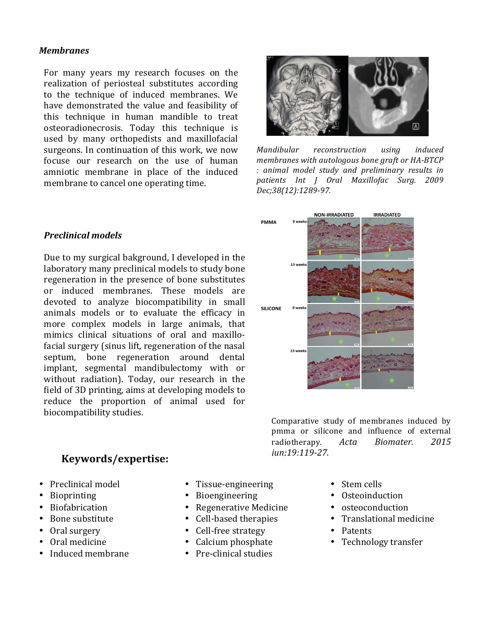#### *Membranes*

For many years my research focuses on the realization of periosteal substitutes according to the technique of induced membranes. We have demonstrated the value and feasibility of this technique in human mandible to treat osteoradionecrosis. Today this technique is used by many orthopedists and maxillofacial surgeons. In continuation of this work, we now focuse our research on the use of human amniotic membrane in place of the induced membrane to cancel one operating time.

#### *Preclinical%models*

Due to my surgical bakground, I developed in the laboratory many preclinical models to study bone regeneration in the presence of bone substitutes or induced membranes. These models are devoted to analyze biocompatibility in small animals models or to evaluate the efficacy in more complex models in large animals, that mimics clinical situations of oral and maxillofacial surgery (sinus lift, regeneration of the nasal septum, bone regeneration around dental implant, segmental mandibulectomy with or without radiation). Today, our research in the field of 3D printing, aims at developing models to reduce the proportion of animal used for biocompatibility studies.<br>
Comparative study of membranes induced by

### **Keywords/expertise:**

- $\bullet$  Preclinical model
- Bioprinting
- **Biofabrication**
- Bone substitute
- Oral surgery
- Oral medicine
- Induced membrane
- Tissue-engineering
- Bioengineering
- Regenerative Medicine
- Cell-based therapies
- Cell-free strategy
- Calcium phosphate
- Pre-clinical studies



*Mandibular# reconstruction# using# induced# membranes with autologous bone graft or HA-BTCP :# animal# model# study# and# preliminary# results# in# patients Int# J# Oral# Maxillofac# Surg.# 2009#* Dec;38(12):1289-97.



pmma or silicone and influence of external radiotherapy. *Acta# Biomater.# 2015# jun:19:119-27.* 

- Stem cells
- Osteoinduction
- osteoconduction
- Translational medicine
- Patents
- Technology transfer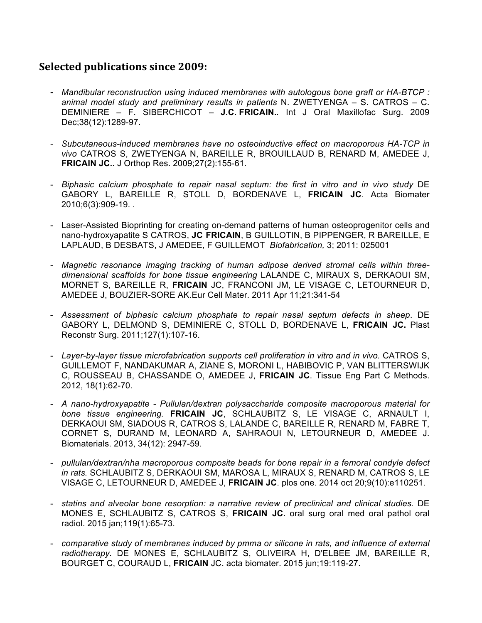### **Selected.publications since.2009:**

- *Mandibular reconstruction using induced membranes with autologous bone graft or HA-BTCP : animal model study and preliminary results in patients* N. ZWETYENGA – S. CATROS – C. DEMINIERE – F. SIBERCHICOT – **J.C. FRICAIN.***.* Int J Oral Maxillofac Surg. 2009 Dec;38(12):1289-97.
- *Subcutaneous-induced membranes have no osteoinductive effect on macroporous HA-TCP in vivo* CATROS S, ZWETYENGA N, BAREILLE R, BROUILLAUD B, RENARD M, AMEDEE J, **FRICAIN JC..** J Orthop Res. 2009;27(2):155-61.
- *Biphasic calcium phosphate to repair nasal septum: the first in vitro and in vivo study* DE GABORY L, BAREILLE R, STOLL D, BORDENAVE L, **FRICAIN JC**. Acta Biomater 2010;6(3):909-19. .
- Laser-Assisted Bioprinting for creating on-demand patterns of human osteoprogenitor cells and nano-hydroxyapatite S CATROS, **JC FRICAIN**, B GUILLOTIN, B PIPPENGER, R BAREILLE, E LAPLAUD, B DESBATS, J AMEDEE, F GUILLEMOT *Biofabrication,* 3; 2011: 025001
- *Magnetic resonance imaging tracking of human adipose derived stromal cells within threedimensional scaffolds for bone tissue engineering* LALANDE C, MIRAUX S, DERKAOUI SM, MORNET S, BAREILLE R, **FRICAIN** JC, FRANCONI JM, LE VISAGE C, LETOURNEUR D, AMEDEE J, BOUZIER-SORE AK.Eur Cell Mater. 2011 Apr 11;21:341-54
- *Assessment of biphasic calcium phosphate to repair nasal septum defects in sheep*. DE GABORY L, DELMOND S, DEMINIERE C, STOLL D, BORDENAVE L, **FRICAIN JC.** Plast Reconstr Surg. 2011;127(1):107-16.
- *Layer-by-layer tissue microfabrication supports cell proliferation in vitro and in vivo.* CATROS S, GUILLEMOT F, NANDAKUMAR A, ZIANE S, MORONI L, HABIBOVIC P, VAN BLITTERSWIJK C, ROUSSEAU B, CHASSANDE O, AMEDEE J, **FRICAIN JC**. Tissue Eng Part C Methods. 2012, 18(1):62-70.
- *A nano-hydroxyapatite - Pullulan/dextran polysaccharide composite macroporous material for bone tissue engineering.* **FRICAIN JC**, SCHLAUBITZ S, LE VISAGE C, ARNAULT I, DERKAOUI SM, SIADOUS R, CATROS S, LALANDE C, BAREILLE R, RENARD M, FABRE T, CORNET S, DURAND M, LEONARD A, SAHRAOUI N, LETOURNEUR D, AMEDEE J. Biomaterials. 2013, 34(12): 2947-59.
- *pullulan/dextran/nha macroporous composite beads for bone repair in a femoral condyle defect in rats.* SCHLAUBITZ S, DERKAOUI SM, MAROSA L, MIRAUX S, RENARD M, CATROS S, LE VISAGE C, LETOURNEUR D, AMEDEE J, **FRICAIN JC**. plos one. 2014 oct 20;9(10):e110251.
- *statins and alveolar bone resorption: a narrative review of preclinical and clinical studies.* DE MONES E, SCHLAUBITZ S, CATROS S, **FRICAIN JC.** oral surg oral med oral pathol oral radiol. 2015 jan;119(1):65-73.
- *comparative study of membranes induced by pmma or silicone in rats, and influence of external radiotherapy.* DE MONES E, SCHLAUBITZ S, OLIVEIRA H, D'ELBEE JM, BAREILLE R, BOURGET C, COURAUD L, **FRICAIN** JC. acta biomater. 2015 jun;19:119-27.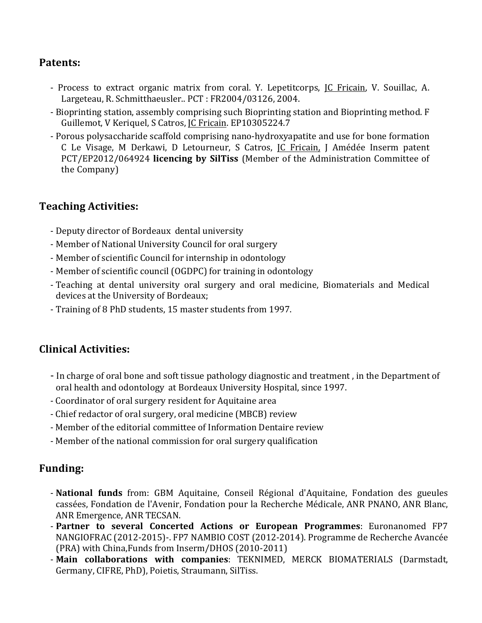## **Patents:**

- Process to extract organic matrix from coral. Y. Lepetitcorps, JC Fricain, V. Souillac, A. Largeteau, R. Schmitthaeusler.. PCT : FR2004/03126, 2004.
- Bioprinting station, assembly comprising such Bioprinting station and Bioprinting method. F Guillemot, V Keriquel, S Catros, JC Fricain. EP10305224.7
- Porous polysaccharide scaffold comprising nano-hydroxyapatite and use for bone formation C Le Visage, M Derkawi, D Letourneur, S Catros, JC Fricain, J Amédée Inserm patent PCT/EP2012/064924 **licencing by SilTiss** (Member of the Administration Committee of the Company)

# **Teaching.Activities:**

- Deputy director of Bordeaux dental university
- Member of National University Council for oral surgery
- Member of scientific Council for internship in odontology
- Member of scientific council (OGDPC) for training in odontology
- Teaching at dental university oral surgery and oral medicine, Biomaterials and Medical devices at the University of Bordeaux;
- Training of 8 PhD students, 15 master students from 1997.

# **Clinical.Activities:**

- In charge of oral bone and soft tissue pathology diagnostic and treatment, in the Department of oral health and odontology at Bordeaux University Hospital, since 1997.
- Coordinator of oral surgery resident for Aquitaine area
- Chief redactor of oral surgery, oral medicine (MBCB) review
- Member of the editorial committee of Information Dentaire review
- Member of the national commission for oral surgery qualification

# **Funding:**

- National funds from: GBM Aquitaine, Conseil Régional d'Aquitaine, Fondation des gueules cassées, Fondation de l'Avenir, Fondation pour la Recherche Médicale, ANR PNANO, ANR Blanc, ANR Emergence, ANR TECSAN.
- Partner to several Concerted Actions or European Programmes: Euronanomed FP7 NANGIOFRAC (2012-2015)-. FP7 NAMBIO COST (2012-2014). Programme de Recherche Avancée (PRA) with China,Funds from Inserm/DHOS (2010-2011)
- Main collaborations with companies: TEKNIMED, MERCK BIOMATERIALS (Darmstadt, Germany, CIFRE, PhD), Poietis, Straumann, SilTiss.